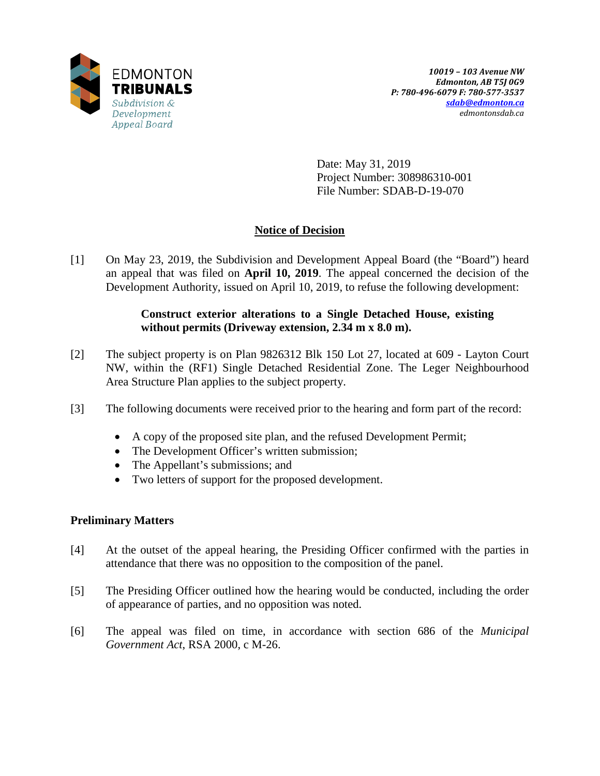

Date: May 31, 2019 Project Number: 308986310-001 File Number: SDAB-D-19-070

# **Notice of Decision**

[1] On May 23, 2019, the Subdivision and Development Appeal Board (the "Board") heard an appeal that was filed on **April 10, 2019**. The appeal concerned the decision of the Development Authority, issued on April 10, 2019, to refuse the following development:

## **Construct exterior alterations to a Single Detached House, existing without permits (Driveway extension, 2.34 m x 8.0 m).**

- [2] The subject property is on Plan 9826312 Blk 150 Lot 27, located at 609 Layton Court NW, within the (RF1) Single Detached Residential Zone. The Leger Neighbourhood Area Structure Plan applies to the subject property.
- [3] The following documents were received prior to the hearing and form part of the record:
	- A copy of the proposed site plan, and the refused Development Permit;
	- The Development Officer's written submission;
	- The Appellant's submissions; and
	- Two letters of support for the proposed development.

## **Preliminary Matters**

- [4] At the outset of the appeal hearing, the Presiding Officer confirmed with the parties in attendance that there was no opposition to the composition of the panel.
- [5] The Presiding Officer outlined how the hearing would be conducted, including the order of appearance of parties, and no opposition was noted.
- [6] The appeal was filed on time, in accordance with section 686 of the *Municipal Government Act*, RSA 2000, c M-26.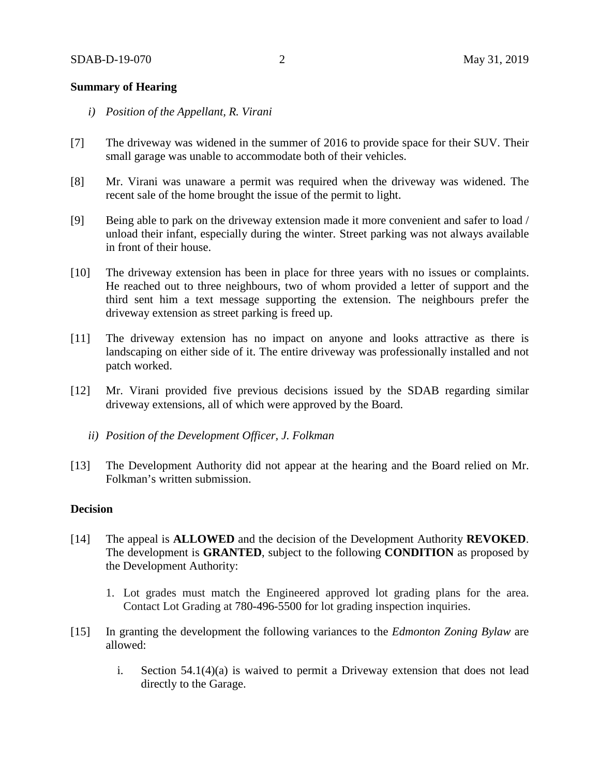### **Summary of Hearing**

- *i) Position of the Appellant, R. Virani*
- [7] The driveway was widened in the summer of 2016 to provide space for their SUV. Their small garage was unable to accommodate both of their vehicles.
- [8] Mr. Virani was unaware a permit was required when the driveway was widened. The recent sale of the home brought the issue of the permit to light.
- [9] Being able to park on the driveway extension made it more convenient and safer to load / unload their infant, especially during the winter. Street parking was not always available in front of their house.
- [10] The driveway extension has been in place for three years with no issues or complaints. He reached out to three neighbours, two of whom provided a letter of support and the third sent him a text message supporting the extension. The neighbours prefer the driveway extension as street parking is freed up.
- [11] The driveway extension has no impact on anyone and looks attractive as there is landscaping on either side of it. The entire driveway was professionally installed and not patch worked.
- [12] Mr. Virani provided five previous decisions issued by the SDAB regarding similar driveway extensions, all of which were approved by the Board.
	- *ii) Position of the Development Officer, J. Folkman*
- [13] The Development Authority did not appear at the hearing and the Board relied on Mr. Folkman's written submission.

### **Decision**

- [14] The appeal is **ALLOWED** and the decision of the Development Authority **REVOKED**. The development is **GRANTED**, subject to the following **CONDITION** as proposed by the Development Authority:
	- 1. Lot grades must match the Engineered approved lot grading plans for the area. Contact Lot Grading at 780-496-5500 for lot grading inspection inquiries.
- [15] In granting the development the following variances to the *Edmonton Zoning Bylaw* are allowed:
	- i. Section 54.1(4)(a) is waived to permit a Driveway extension that does not lead directly to the Garage.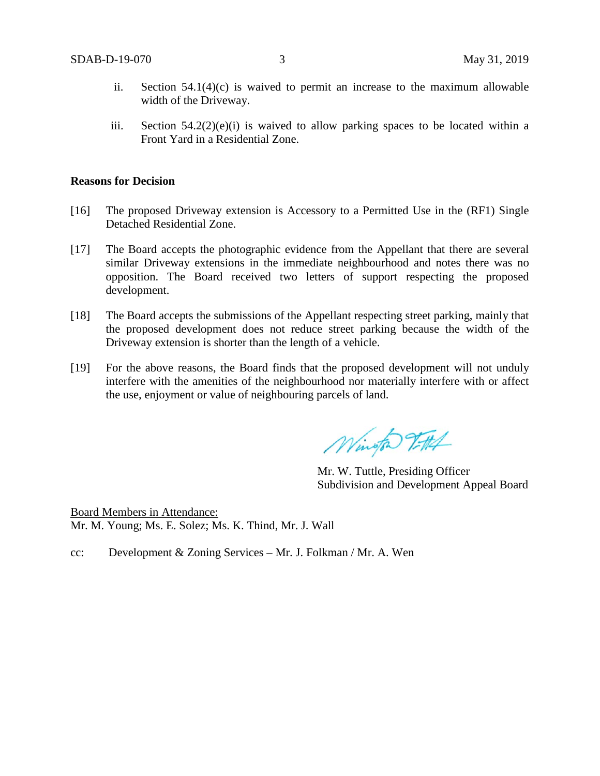- ii. Section 54.1(4)(c) is waived to permit an increase to the maximum allowable width of the Driveway.
- iii. Section  $54.2(2)(e)(i)$  is waived to allow parking spaces to be located within a Front Yard in a Residential Zone.

#### **Reasons for Decision**

- [16] The proposed Driveway extension is Accessory to a Permitted Use in the (RF1) Single Detached Residential Zone.
- [17] The Board accepts the photographic evidence from the Appellant that there are several similar Driveway extensions in the immediate neighbourhood and notes there was no opposition. The Board received two letters of support respecting the proposed development.
- [18] The Board accepts the submissions of the Appellant respecting street parking, mainly that the proposed development does not reduce street parking because the width of the Driveway extension is shorter than the length of a vehicle.
- [19] For the above reasons, the Board finds that the proposed development will not unduly interfere with the amenities of the neighbourhood nor materially interfere with or affect the use, enjoyment or value of neighbouring parcels of land.

Wington Vittel

Mr. W. Tuttle, Presiding Officer Subdivision and Development Appeal Board

Board Members in Attendance: Mr. M. Young; Ms. E. Solez; Ms. K. Thind, Mr. J. Wall

cc: Development & Zoning Services – Mr. J. Folkman / Mr. A. Wen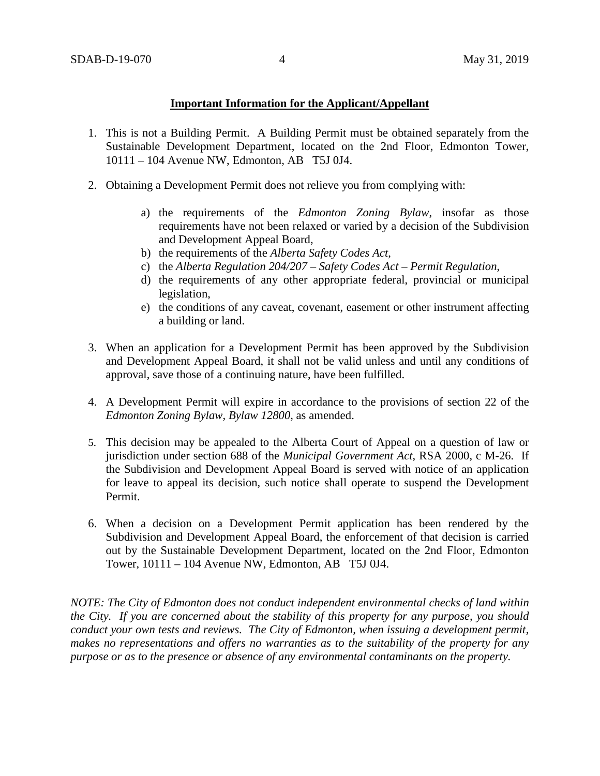### **Important Information for the Applicant/Appellant**

- 1. This is not a Building Permit. A Building Permit must be obtained separately from the Sustainable Development Department, located on the 2nd Floor, Edmonton Tower, 10111 – 104 Avenue NW, Edmonton, AB T5J 0J4.
- 2. Obtaining a Development Permit does not relieve you from complying with:
	- a) the requirements of the *Edmonton Zoning Bylaw*, insofar as those requirements have not been relaxed or varied by a decision of the Subdivision and Development Appeal Board,
	- b) the requirements of the *Alberta Safety Codes Act*,
	- c) the *Alberta Regulation 204/207 – Safety Codes Act – Permit Regulation*,
	- d) the requirements of any other appropriate federal, provincial or municipal legislation,
	- e) the conditions of any caveat, covenant, easement or other instrument affecting a building or land.
- 3. When an application for a Development Permit has been approved by the Subdivision and Development Appeal Board, it shall not be valid unless and until any conditions of approval, save those of a continuing nature, have been fulfilled.
- 4. A Development Permit will expire in accordance to the provisions of section 22 of the *Edmonton Zoning Bylaw, Bylaw 12800*, as amended.
- 5. This decision may be appealed to the Alberta Court of Appeal on a question of law or jurisdiction under section 688 of the *Municipal Government Act*, RSA 2000, c M-26. If the Subdivision and Development Appeal Board is served with notice of an application for leave to appeal its decision, such notice shall operate to suspend the Development Permit.
- 6. When a decision on a Development Permit application has been rendered by the Subdivision and Development Appeal Board, the enforcement of that decision is carried out by the Sustainable Development Department, located on the 2nd Floor, Edmonton Tower, 10111 – 104 Avenue NW, Edmonton, AB T5J 0J4.

*NOTE: The City of Edmonton does not conduct independent environmental checks of land within the City. If you are concerned about the stability of this property for any purpose, you should conduct your own tests and reviews. The City of Edmonton, when issuing a development permit, makes no representations and offers no warranties as to the suitability of the property for any purpose or as to the presence or absence of any environmental contaminants on the property.*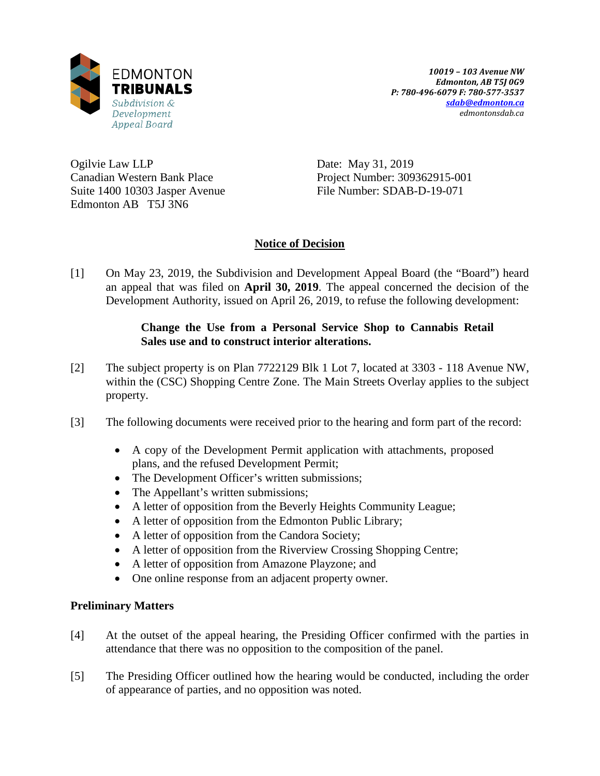

Ogilvie Law LLP Canadian Western Bank Place Suite 1400 10303 Jasper Avenue Edmonton AB T5J 3N6

Date: May 31, 2019 Project Number: 309362915-001 File Number: SDAB-D-19-071

## **Notice of Decision**

[1] On May 23, 2019, the Subdivision and Development Appeal Board (the "Board") heard an appeal that was filed on **April 30, 2019**. The appeal concerned the decision of the Development Authority, issued on April 26, 2019, to refuse the following development:

## **Change the Use from a Personal Service Shop to Cannabis Retail Sales use and to construct interior alterations.**

- [2] The subject property is on Plan 7722129 Blk 1 Lot 7, located at 3303 118 Avenue NW, within the (CSC) Shopping Centre Zone. The Main Streets Overlay applies to the subject property.
- [3] The following documents were received prior to the hearing and form part of the record:
	- A copy of the Development Permit application with attachments, proposed plans, and the refused Development Permit;
	- The Development Officer's written submissions;
	- The Appellant's written submissions;
	- A letter of opposition from the Beverly Heights Community League;
	- A letter of opposition from the Edmonton Public Library;
	- A letter of opposition from the Candora Society;
	- A letter of opposition from the Riverview Crossing Shopping Centre;
	- A letter of opposition from Amazone Playzone; and
	- One online response from an adjacent property owner.

### **Preliminary Matters**

- [4] At the outset of the appeal hearing, the Presiding Officer confirmed with the parties in attendance that there was no opposition to the composition of the panel.
- [5] The Presiding Officer outlined how the hearing would be conducted, including the order of appearance of parties, and no opposition was noted.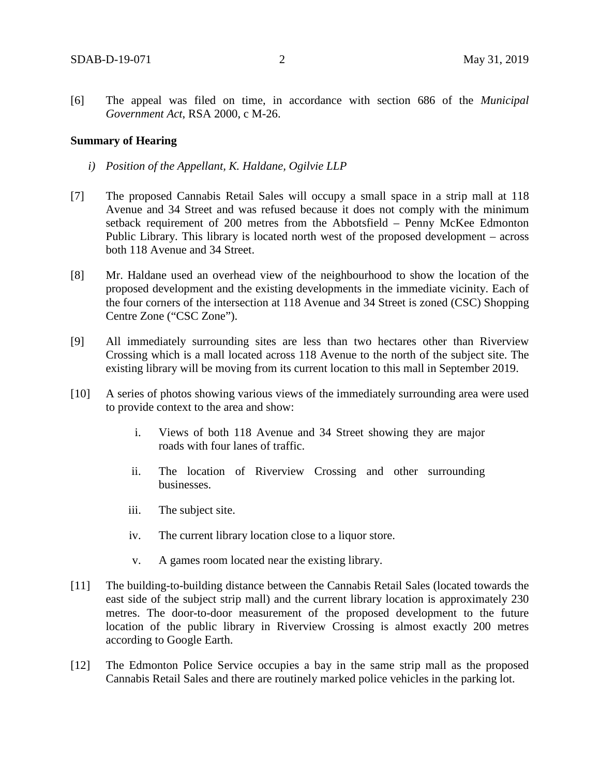[6] The appeal was filed on time, in accordance with section 686 of the *Municipal Government Act*, RSA 2000, c M-26.

#### **Summary of Hearing**

- *i) Position of the Appellant, K. Haldane, Ogilvie LLP*
- [7] The proposed Cannabis Retail Sales will occupy a small space in a strip mall at 118 Avenue and 34 Street and was refused because it does not comply with the minimum setback requirement of 200 metres from the Abbotsfield – Penny McKee Edmonton Public Library. This library is located north west of the proposed development – across both 118 Avenue and 34 Street.
- [8] Mr. Haldane used an overhead view of the neighbourhood to show the location of the proposed development and the existing developments in the immediate vicinity. Each of the four corners of the intersection at 118 Avenue and 34 Street is zoned (CSC) Shopping Centre Zone ("CSC Zone").
- [9] All immediately surrounding sites are less than two hectares other than Riverview Crossing which is a mall located across 118 Avenue to the north of the subject site. The existing library will be moving from its current location to this mall in September 2019.
- [10] A series of photos showing various views of the immediately surrounding area were used to provide context to the area and show:
	- i. Views of both 118 Avenue and 34 Street showing they are major roads with four lanes of traffic.
	- ii. The location of Riverview Crossing and other surrounding businesses.
	- iii. The subject site.
	- iv. The current library location close to a liquor store.
	- v. A games room located near the existing library.
- [11] The building-to-building distance between the Cannabis Retail Sales (located towards the east side of the subject strip mall) and the current library location is approximately 230 metres. The door-to-door measurement of the proposed development to the future location of the public library in Riverview Crossing is almost exactly 200 metres according to Google Earth.
- [12] The Edmonton Police Service occupies a bay in the same strip mall as the proposed Cannabis Retail Sales and there are routinely marked police vehicles in the parking lot.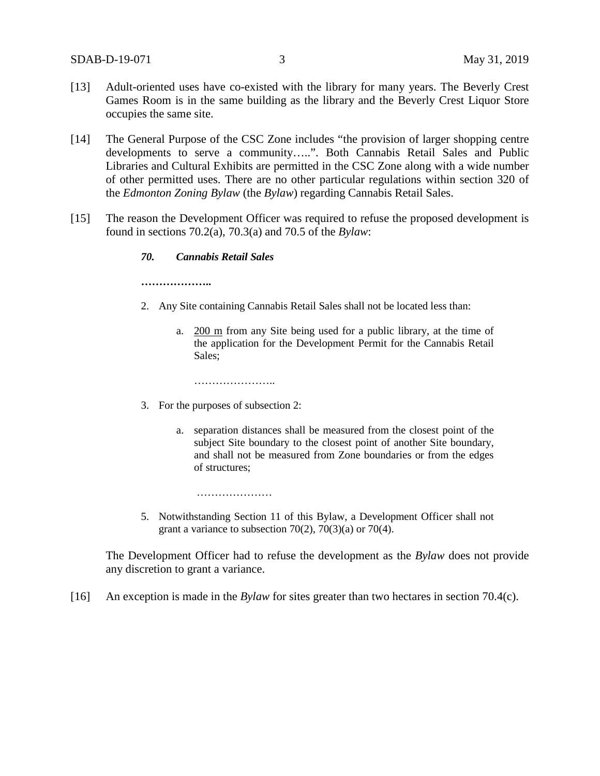- [13] Adult-oriented uses have co-existed with the library for many years. The Beverly Crest Games Room is in the same building as the library and the Beverly Crest Liquor Store occupies the same site.
- [14] The General Purpose of the CSC Zone includes "the provision of larger shopping centre developments to serve a community…..". Both Cannabis Retail Sales and Public Libraries and Cultural Exhibits are permitted in the CSC Zone along with a wide number of other permitted uses. There are no other particular regulations within section 320 of the *Edmonton Zoning Bylaw* (the *Bylaw*) regarding Cannabis Retail Sales.
- [15] The reason the Development Officer was required to refuse the proposed development is found in sections 70.2(a), 70.3(a) and 70.5 of the *Bylaw*:

#### *70. Cannabis Retail Sales*

**………………..**

- 2. Any Site containing Cannabis Retail Sales shall not be located less than:
	- a. [200 m](javascript:void(0);) from any Site being used for a public library, at the time of the application for the Development Permit for the Cannabis Retail Sales;

…………………..

…………………

- 3. For the purposes of subsection 2:
	- a. separation distances shall be measured from the closest point of the subject Site boundary to the closest point of another Site boundary, and shall not be measured from Zone boundaries or from the edges of structures;
- 5. Notwithstanding [Section 11](https://webdocs.edmonton.ca/InfraPlan/zoningbylaw/ZoningBylaw/Part1/Administrative/11__Authority_and_Responsibility_of_the_Development_Officer.htm) of this Bylaw, a Development Officer shall not grant a variance to subsection  $70(2)$ ,  $70(3)(a)$  or  $70(4)$ .

The Development Officer had to refuse the development as the *Bylaw* does not provide any discretion to grant a variance.

[16] An exception is made in the *Bylaw* for sites greater than two hectares in section 70.4(c).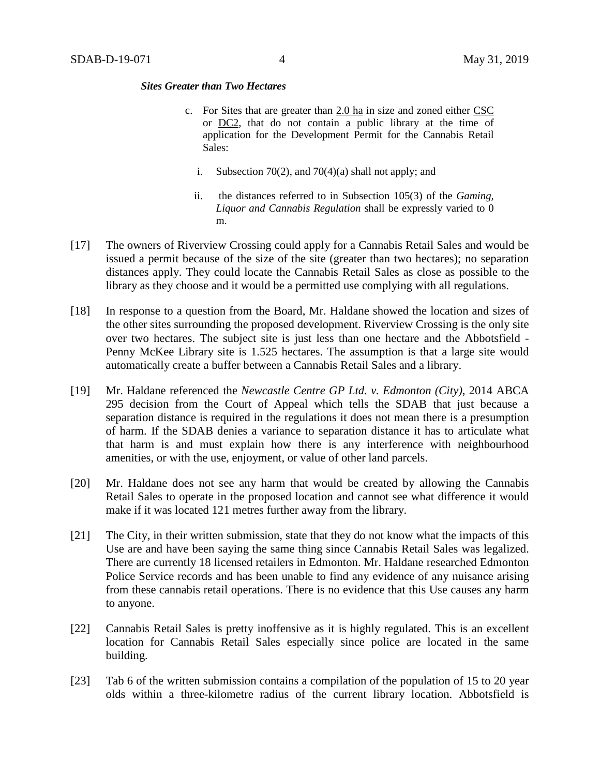#### *Sites Greater than Two Hectares*

- c. For Sites that are greater than [2.0 ha](https://webdocs.edmonton.ca/InfraPlan/zoningbylaw/ZoningBylaw/Measurements/ih2.htm) in size and zoned either [CSC](https://webdocs.edmonton.ca/InfraPlan/zoningbylaw/ZoningBylaw/Part2/Commercial/320_(CSC)_Shopping_Centre_Zone.htm) or [DC2,](https://webdocs.edmonton.ca/InfraPlan/zoningbylaw/ZoningBylaw/Part2/Direct/720_(DC2)_Site_Specific_Development_Control_Provision.htm) that do not contain a public library at the time of application for the Development Permit for the Cannabis Retail Sales:
	- i. Subsection 70(2), and 70(4)(a) shall not apply; and
	- ii. the distances referred to in Subsection 105(3) of the *Gaming, Liquor and Cannabis Regulation* shall be expressly varied to 0 m.
- [17] The owners of Riverview Crossing could apply for a Cannabis Retail Sales and would be issued a permit because of the size of the site (greater than two hectares); no separation distances apply. They could locate the Cannabis Retail Sales as close as possible to the library as they choose and it would be a permitted use complying with all regulations.
- [18] In response to a question from the Board, Mr. Haldane showed the location and sizes of the other sites surrounding the proposed development. Riverview Crossing is the only site over two hectares. The subject site is just less than one hectare and the Abbotsfield - Penny McKee Library site is 1.525 hectares. The assumption is that a large site would automatically create a buffer between a Cannabis Retail Sales and a library.
- [19] Mr. Haldane referenced the *Newcastle Centre GP Ltd. v. Edmonton (City)*, 2014 ABCA 295 decision from the Court of Appeal which tells the SDAB that just because a separation distance is required in the regulations it does not mean there is a presumption of harm. If the SDAB denies a variance to separation distance it has to articulate what that harm is and must explain how there is any interference with neighbourhood amenities, or with the use, enjoyment, or value of other land parcels.
- [20] Mr. Haldane does not see any harm that would be created by allowing the Cannabis Retail Sales to operate in the proposed location and cannot see what difference it would make if it was located 121 metres further away from the library.
- [21] The City, in their written submission, state that they do not know what the impacts of this Use are and have been saying the same thing since Cannabis Retail Sales was legalized. There are currently 18 licensed retailers in Edmonton. Mr. Haldane researched Edmonton Police Service records and has been unable to find any evidence of any nuisance arising from these cannabis retail operations. There is no evidence that this Use causes any harm to anyone.
- [22] Cannabis Retail Sales is pretty inoffensive as it is highly regulated. This is an excellent location for Cannabis Retail Sales especially since police are located in the same building.
- [23] Tab 6 of the written submission contains a compilation of the population of 15 to 20 year olds within a three-kilometre radius of the current library location. Abbotsfield is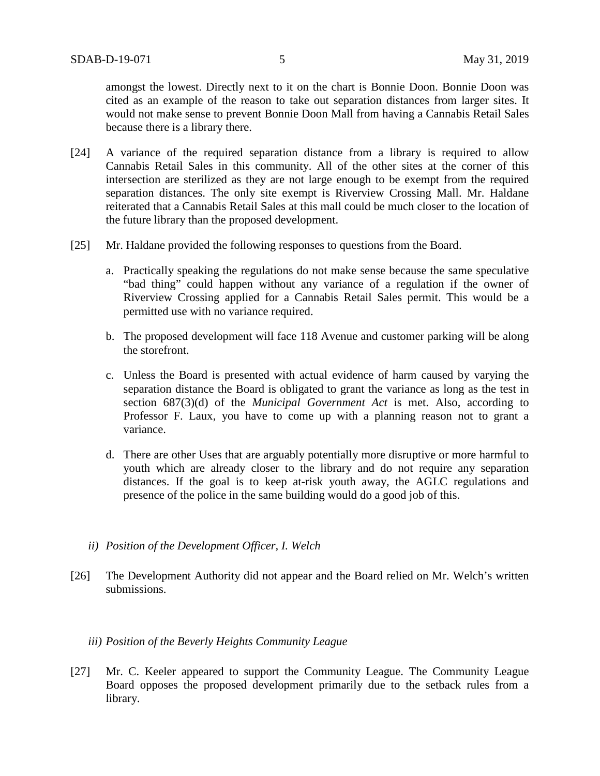amongst the lowest. Directly next to it on the chart is Bonnie Doon. Bonnie Doon was cited as an example of the reason to take out separation distances from larger sites. It would not make sense to prevent Bonnie Doon Mall from having a Cannabis Retail Sales because there is a library there.

- [24] A variance of the required separation distance from a library is required to allow Cannabis Retail Sales in this community. All of the other sites at the corner of this intersection are sterilized as they are not large enough to be exempt from the required separation distances. The only site exempt is Riverview Crossing Mall. Mr. Haldane reiterated that a Cannabis Retail Sales at this mall could be much closer to the location of the future library than the proposed development.
- [25] Mr. Haldane provided the following responses to questions from the Board.
	- a. Practically speaking the regulations do not make sense because the same speculative "bad thing" could happen without any variance of a regulation if the owner of Riverview Crossing applied for a Cannabis Retail Sales permit. This would be a permitted use with no variance required.
	- b. The proposed development will face 118 Avenue and customer parking will be along the storefront.
	- c. Unless the Board is presented with actual evidence of harm caused by varying the separation distance the Board is obligated to grant the variance as long as the test in section 687(3)(d) of the *Municipal Government Act* is met. Also, according to Professor F. Laux, you have to come up with a planning reason not to grant a variance.
	- d. There are other Uses that are arguably potentially more disruptive or more harmful to youth which are already closer to the library and do not require any separation distances. If the goal is to keep at-risk youth away, the AGLC regulations and presence of the police in the same building would do a good job of this.
	- *ii) Position of the Development Officer, I. Welch*
- [26] The Development Authority did not appear and the Board relied on Mr. Welch's written submissions.

#### *iii) Position of the Beverly Heights Community League*

[27] Mr. C. Keeler appeared to support the Community League. The Community League Board opposes the proposed development primarily due to the setback rules from a library.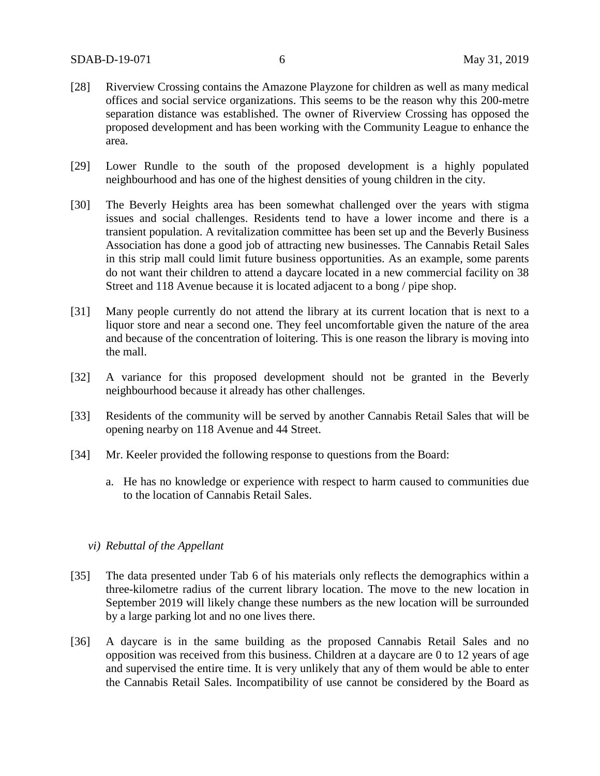- [28] Riverview Crossing contains the Amazone Playzone for children as well as many medical offices and social service organizations. This seems to be the reason why this 200-metre separation distance was established. The owner of Riverview Crossing has opposed the proposed development and has been working with the Community League to enhance the area.
- [29] Lower Rundle to the south of the proposed development is a highly populated neighbourhood and has one of the highest densities of young children in the city.
- [30] The Beverly Heights area has been somewhat challenged over the years with stigma issues and social challenges. Residents tend to have a lower income and there is a transient population. A revitalization committee has been set up and the Beverly Business Association has done a good job of attracting new businesses. The Cannabis Retail Sales in this strip mall could limit future business opportunities. As an example, some parents do not want their children to attend a daycare located in a new commercial facility on 38 Street and 118 Avenue because it is located adjacent to a bong / pipe shop.
- [31] Many people currently do not attend the library at its current location that is next to a liquor store and near a second one. They feel uncomfortable given the nature of the area and because of the concentration of loitering. This is one reason the library is moving into the mall.
- [32] A variance for this proposed development should not be granted in the Beverly neighbourhood because it already has other challenges.
- [33] Residents of the community will be served by another Cannabis Retail Sales that will be opening nearby on 118 Avenue and 44 Street.
- [34] Mr. Keeler provided the following response to questions from the Board:
	- a. He has no knowledge or experience with respect to harm caused to communities due to the location of Cannabis Retail Sales.

#### *vi) Rebuttal of the Appellant*

- [35] The data presented under Tab 6 of his materials only reflects the demographics within a three-kilometre radius of the current library location. The move to the new location in September 2019 will likely change these numbers as the new location will be surrounded by a large parking lot and no one lives there.
- [36] A daycare is in the same building as the proposed Cannabis Retail Sales and no opposition was received from this business. Children at a daycare are 0 to 12 years of age and supervised the entire time. It is very unlikely that any of them would be able to enter the Cannabis Retail Sales. Incompatibility of use cannot be considered by the Board as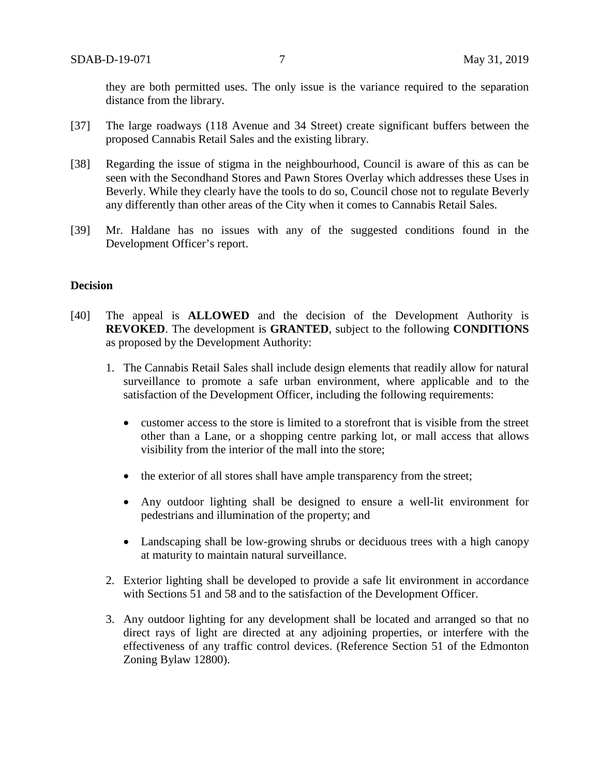they are both permitted uses. The only issue is the variance required to the separation distance from the library.

- [37] The large roadways (118 Avenue and 34 Street) create significant buffers between the proposed Cannabis Retail Sales and the existing library.
- [38] Regarding the issue of stigma in the neighbourhood, Council is aware of this as can be seen with the Secondhand Stores and Pawn Stores Overlay which addresses these Uses in Beverly. While they clearly have the tools to do so, Council chose not to regulate Beverly any differently than other areas of the City when it comes to Cannabis Retail Sales.
- [39] Mr. Haldane has no issues with any of the suggested conditions found in the Development Officer's report.

### **Decision**

- [40] The appeal is **ALLOWED** and the decision of the Development Authority is **REVOKED**. The development is **GRANTED**, subject to the following **CONDITIONS** as proposed by the Development Authority:
	- 1. The Cannabis Retail Sales shall include design elements that readily allow for natural surveillance to promote a safe urban environment, where applicable and to the satisfaction of the Development Officer, including the following requirements:
		- customer access to the store is limited to a storefront that is visible from the street other than a Lane, or a shopping centre parking lot, or mall access that allows visibility from the interior of the mall into the store;
		- the exterior of all stores shall have ample transparency from the street;
		- Any outdoor lighting shall be designed to ensure a well-lit environment for pedestrians and illumination of the property; and
		- Landscaping shall be low-growing shrubs or deciduous trees with a high canopy at maturity to maintain natural surveillance.
	- 2. Exterior lighting shall be developed to provide a safe lit environment in accordance with Sections 51 and 58 and to the satisfaction of the Development Officer.
	- 3. Any outdoor lighting for any development shall be located and arranged so that no direct rays of light are directed at any adjoining properties, or interfere with the effectiveness of any traffic control devices. (Reference Section 51 of the Edmonton Zoning Bylaw 12800).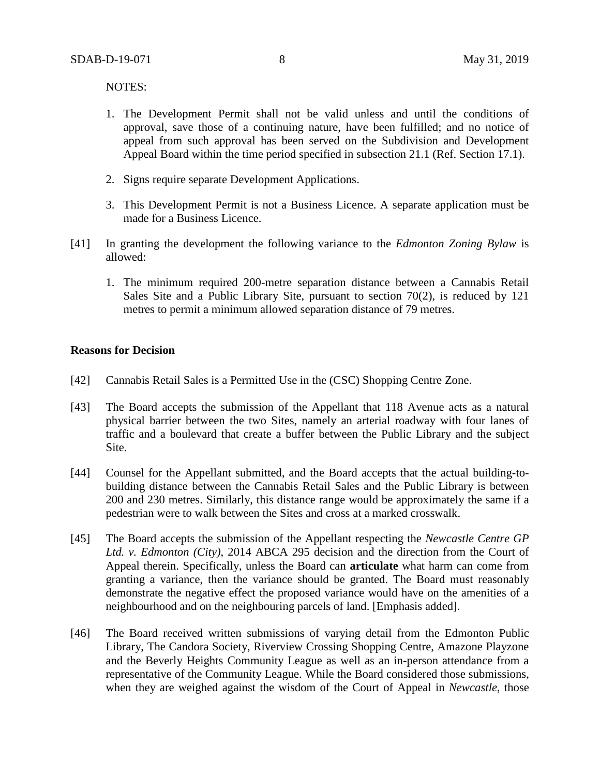NOTES:

- 1. The Development Permit shall not be valid unless and until the conditions of approval, save those of a continuing nature, have been fulfilled; and no notice of appeal from such approval has been served on the Subdivision and Development Appeal Board within the time period specified in subsection 21.1 (Ref. Section 17.1).
- 2. Signs require separate Development Applications.
- 3. This Development Permit is not a Business Licence. A separate application must be made for a Business Licence.
- [41] In granting the development the following variance to the *Edmonton Zoning Bylaw* is allowed:
	- 1. The minimum required 200-metre separation distance between a Cannabis Retail Sales Site and a Public Library Site, pursuant to section 70(2), is reduced by 121 metres to permit a minimum allowed separation distance of 79 metres.

### **Reasons for Decision**

- [42] Cannabis Retail Sales is a Permitted Use in the (CSC) Shopping Centre Zone.
- [43] The Board accepts the submission of the Appellant that 118 Avenue acts as a natural physical barrier between the two Sites, namely an arterial roadway with four lanes of traffic and a boulevard that create a buffer between the Public Library and the subject Site.
- [44] Counsel for the Appellant submitted, and the Board accepts that the actual building-tobuilding distance between the Cannabis Retail Sales and the Public Library is between 200 and 230 metres. Similarly, this distance range would be approximately the same if a pedestrian were to walk between the Sites and cross at a marked crosswalk.
- [45] The Board accepts the submission of the Appellant respecting the *Newcastle Centre GP Ltd. v. Edmonton (City)*, 2014 ABCA 295 decision and the direction from the Court of Appeal therein. Specifically, unless the Board can **articulate** what harm can come from granting a variance, then the variance should be granted. The Board must reasonably demonstrate the negative effect the proposed variance would have on the amenities of a neighbourhood and on the neighbouring parcels of land. [Emphasis added].
- [46] The Board received written submissions of varying detail from the Edmonton Public Library, The Candora Society, Riverview Crossing Shopping Centre, Amazone Playzone and the Beverly Heights Community League as well as an in-person attendance from a representative of the Community League. While the Board considered those submissions, when they are weighed against the wisdom of the Court of Appeal in *Newcastle*, those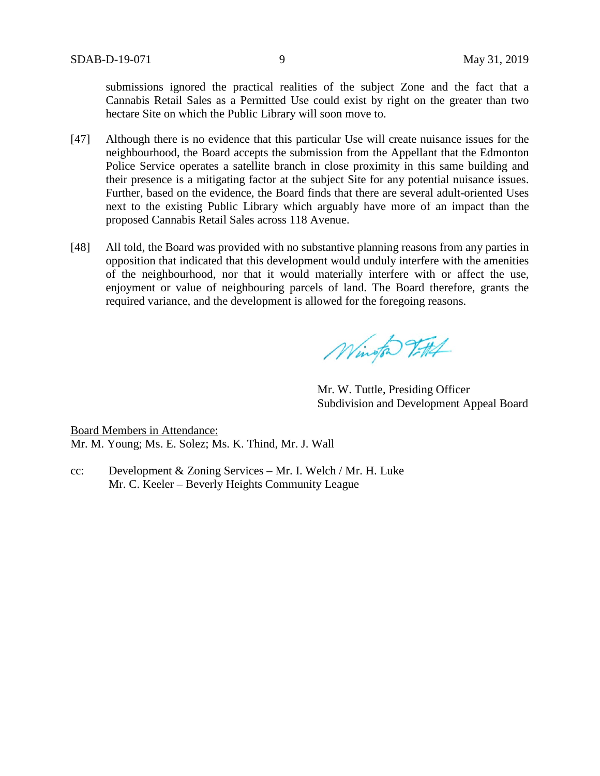submissions ignored the practical realities of the subject Zone and the fact that a Cannabis Retail Sales as a Permitted Use could exist by right on the greater than two hectare Site on which the Public Library will soon move to.

- [47] Although there is no evidence that this particular Use will create nuisance issues for the neighbourhood, the Board accepts the submission from the Appellant that the Edmonton Police Service operates a satellite branch in close proximity in this same building and their presence is a mitigating factor at the subject Site for any potential nuisance issues. Further, based on the evidence, the Board finds that there are several adult-oriented Uses next to the existing Public Library which arguably have more of an impact than the proposed Cannabis Retail Sales across 118 Avenue.
- [48] All told, the Board was provided with no substantive planning reasons from any parties in opposition that indicated that this development would unduly interfere with the amenities of the neighbourhood, nor that it would materially interfere with or affect the use, enjoyment or value of neighbouring parcels of land. The Board therefore, grants the required variance, and the development is allowed for the foregoing reasons.

Wington Titlet

Mr. W. Tuttle, Presiding Officer Subdivision and Development Appeal Board

Board Members in Attendance: Mr. M. Young; Ms. E. Solez; Ms. K. Thind, Mr. J. Wall

cc: Development & Zoning Services – Mr. I. Welch / Mr. H. Luke Mr. C. Keeler – Beverly Heights Community League